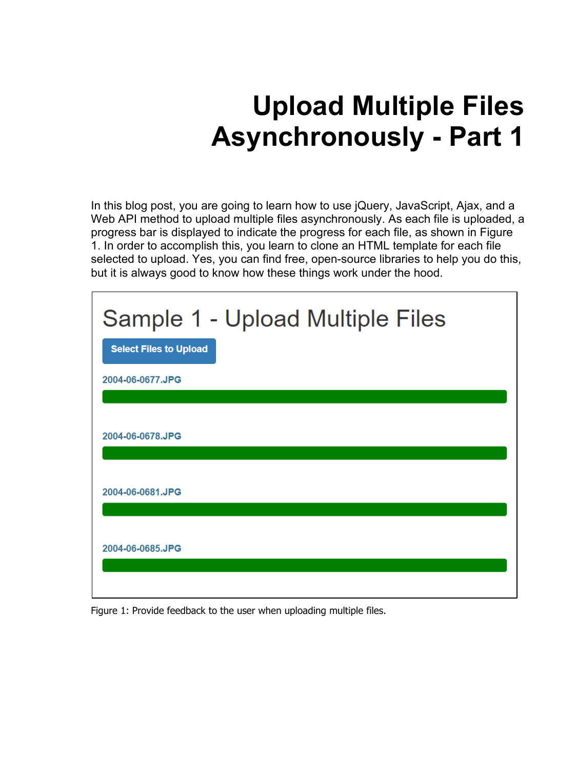# **Upload Multiple Files Asynchronously - Part 1**

In this blog post, you are going to learn how to use jQuery, JavaScript, Ajax, and a Web API method to upload multiple files asynchronously. As each file is uploaded, a progress bar is displayed to indicate the progress for each file, as shown in Figure 1. In order to accomplish this, you learn to clone an HTML template for each file selected to upload. Yes, you can find free, open-source libraries to help you do this, but it is always good to know how these things work under the hood.

| Sample 1 - Upload Multiple Files<br><b>Select Files to Upload</b> |
|-------------------------------------------------------------------|
| 2004-06-0677.JPG                                                  |
| 2004-06-0678.JPG                                                  |
| 2004-06-0681.JPG                                                  |
| 2004-06-0685.JPG                                                  |

Figure 1: Provide feedback to the user when uploading multiple files.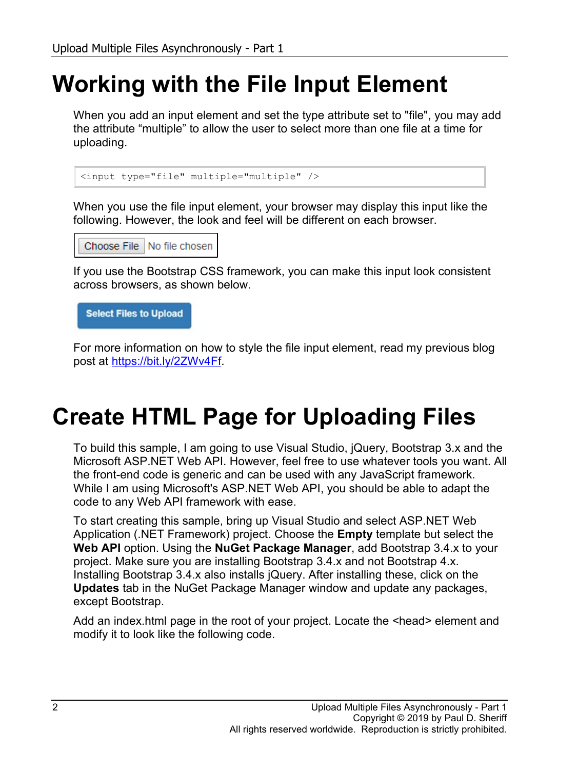### **Working with the File Input Element**

When you add an input element and set the type attribute set to "file", you may add the attribute "multiple" to allow the user to select more than one file at a time for uploading.

```
<input type="file" multiple="multiple" />
```
When you use the file input element, your browser may display this input like the following. However, the look and feel will be different on each browser.

Choose File | No file chosen

If you use the Bootstrap CSS framework, you can make this input look consistent across browsers, as shown below.

**Select Files to Upload** 

For more information on how to style the file input element, read my previous blog post at [https://bit.ly/2ZWv4Ff.](https://bit.ly/2ZWv4Ff)

### **Create HTML Page for Uploading Files**

To build this sample, I am going to use Visual Studio, jQuery, Bootstrap 3.x and the Microsoft ASP.NET Web API. However, feel free to use whatever tools you want. All the front-end code is generic and can be used with any JavaScript framework. While I am using Microsoft's ASP.NET Web API, you should be able to adapt the code to any Web API framework with ease.

To start creating this sample, bring up Visual Studio and select ASP.NET Web Application (.NET Framework) project. Choose the **Empty** template but select the **Web API** option. Using the **NuGet Package Manager**, add Bootstrap 3.4.x to your project. Make sure you are installing Bootstrap 3.4.x and not Bootstrap 4.x. Installing Bootstrap 3.4.x also installs jQuery. After installing these, click on the **Updates** tab in the NuGet Package Manager window and update any packages, except Bootstrap.

Add an index.html page in the root of your project. Locate the <head> element and modify it to look like the following code.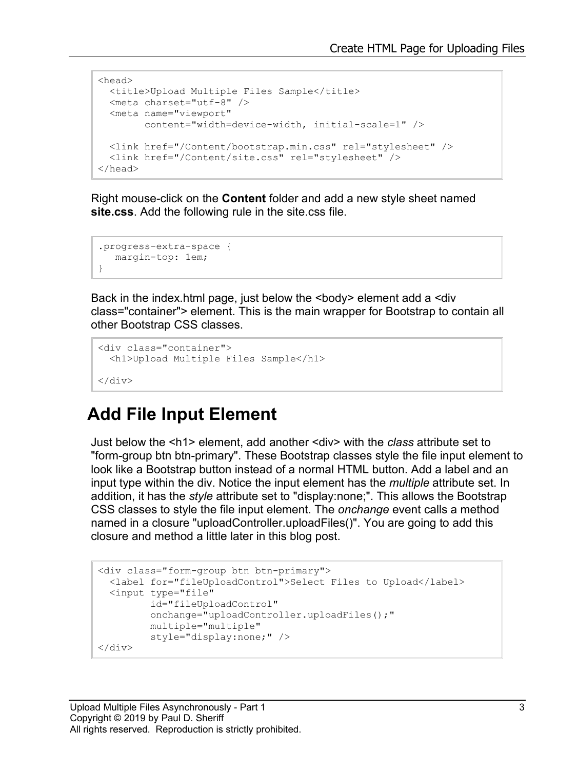```
<head>
 <title>Upload Multiple Files Sample</title>
  <meta charset="utf-8" />
  <meta name="viewport"
        content="width=device-width, initial-scale=1" />
  <link href="/Content/bootstrap.min.css" rel="stylesheet" />
  <link href="/Content/site.css" rel="stylesheet" />
</head>
```
Right mouse-click on the **Content** folder and add a new style sheet named **site.css**. Add the following rule in the site.css file.

```
.progress-extra-space {
   margin-top: 1em;
}
```
Back in the index.html page, just below the <br/>body> element add a <div class="container"> element. This is the main wrapper for Bootstrap to contain all other Bootstrap CSS classes.

```
<div class="container">
  <h1>Upload Multiple Files Sample</h1>
\langle div>
```
#### **Add File Input Element**

Just below the <h1> element, add another <div> with the *class* attribute set to "form-group btn btn-primary". These Bootstrap classes style the file input element to look like a Bootstrap button instead of a normal HTML button. Add a label and an input type within the div. Notice the input element has the *multiple* attribute set. In addition, it has the *style* attribute set to "display:none;". This allows the Bootstrap CSS classes to style the file input element. The *onchange* event calls a method named in a closure "uploadController.uploadFiles()". You are going to add this closure and method a little later in this blog post.

```
<div class="form-group btn btn-primary">
  <label for="fileUploadControl">Select Files to Upload</label>
   <input type="file" 
          id="fileUploadControl" 
          onchange="uploadController.uploadFiles();"
          multiple="multiple" 
          style="display:none;" />
</div>
```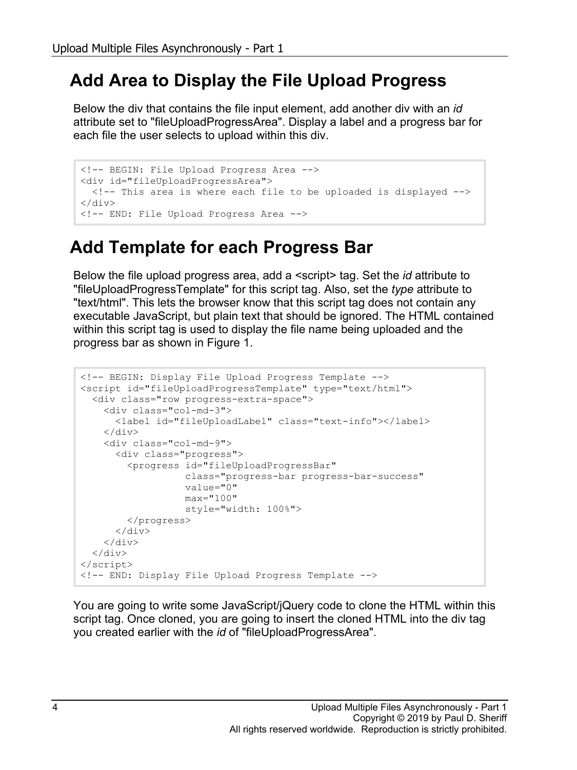#### **Add Area to Display the File Upload Progress**

Below the div that contains the file input element, add another div with an *id* attribute set to "fileUploadProgressArea". Display a label and a progress bar for each file the user selects to upload within this div.

```
<!-- BEGIN: File Upload Progress Area -->
<div id="fileUploadProgressArea">
   <!-- This area is where each file to be uploaded is displayed -->
\langle div\rangle<!-- END: File Upload Progress Area -->
```
#### **Add Template for each Progress Bar**

Below the file upload progress area, add a <script> tag. Set the *id* attribute to "fileUploadProgressTemplate" for this script tag. Also, set the *type* attribute to "text/html". This lets the browser know that this script tag does not contain any executable JavaScript, but plain text that should be ignored. The HTML contained within this script tag is used to display the file name being uploaded and the progress bar as shown in Figure 1.

```
<!-- BEGIN: Display File Upload Progress Template -->
<script id="fileUploadProgressTemplate" type="text/html">
   <div class="row progress-extra-space">
     <div class="col-md-3">
       <label id="fileUploadLabel" class="text-info"></label>
    \langle div>
     <div class="col-md-9">
       <div class="progress">
         <progress id="fileUploadProgressBar"
                    class="progress-bar progress-bar-success"
                    value="0"
                   max="100"
                   style="width: 100%">
         </progress>
      \langle div\rangle\langle div>
  \langle div\rangle</script>
<!-- END: Display File Upload Progress Template -->
```
You are going to write some JavaScript/jQuery code to clone the HTML within this script tag. Once cloned, you are going to insert the cloned HTML into the div tag you created earlier with the *id* of "fileUploadProgressArea".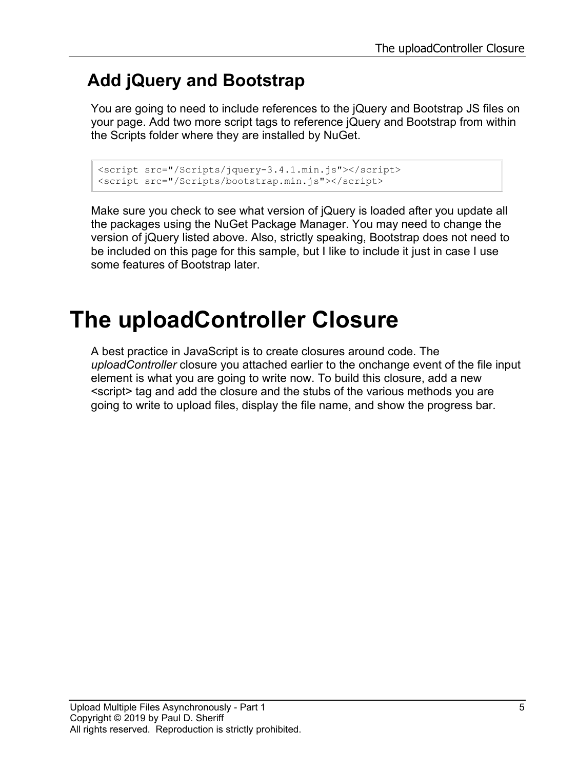### **Add jQuery and Bootstrap**

You are going to need to include references to the jQuery and Bootstrap JS files on your page. Add two more script tags to reference jQuery and Bootstrap from within the Scripts folder where they are installed by NuGet.

```
<script src="/Scripts/jquery-3.4.1.min.js"></script>
<script src="/Scripts/bootstrap.min.js"></script>
```
Make sure you check to see what version of jQuery is loaded after you update all the packages using the NuGet Package Manager. You may need to change the version of jQuery listed above. Also, strictly speaking, Bootstrap does not need to be included on this page for this sample, but I like to include it just in case I use some features of Bootstrap later.

# **The uploadController Closure**

A best practice in JavaScript is to create closures around code. The *uploadController* closure you attached earlier to the onchange event of the file input element is what you are going to write now. To build this closure, add a new <script> tag and add the closure and the stubs of the various methods you are going to write to upload files, display the file name, and show the progress bar.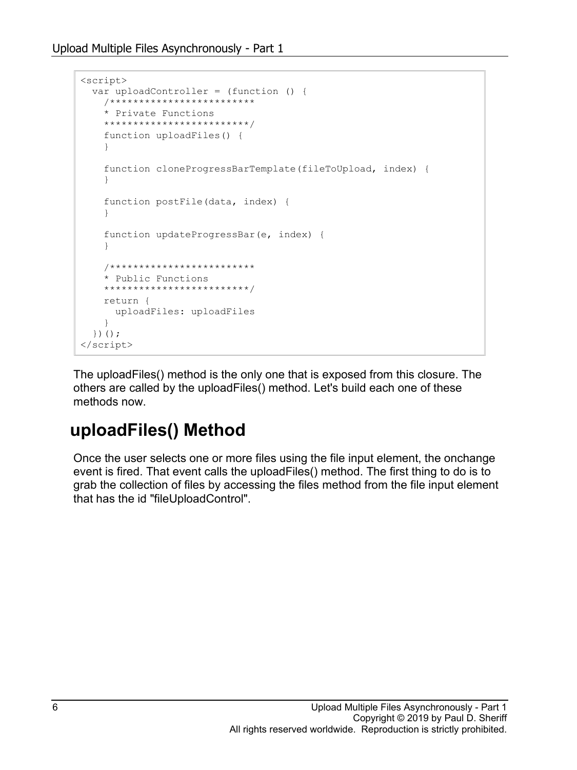```
<script>
   var uploadController = (function () {
     /*************************
     * Private Functions
     *************************/
     function uploadFiles() {
     }
     function cloneProgressBarTemplate(fileToUpload, index) {
     }
     function postFile(data, index) {
     }
     function updateProgressBar(e, index) {
 }
     /*************************
     * Public Functions
     *************************/
     return {
       uploadFiles: uploadFiles
     }
   })();
</script>
```
The uploadFiles() method is the only one that is exposed from this closure. The others are called by the uploadFiles() method. Let's build each one of these methods now.

#### **uploadFiles() Method**

Once the user selects one or more files using the file input element, the onchange event is fired. That event calls the uploadFiles() method. The first thing to do is to grab the collection of files by accessing the files method from the file input element that has the id "fileUploadControl".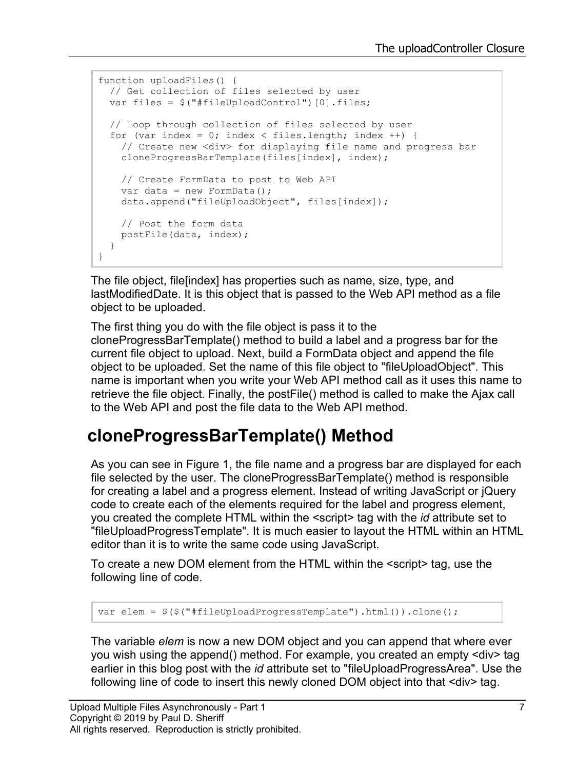```
function uploadFiles() {
  // Get collection of files selected by user
 var files = $("#fileUpdateContentroll") [0].files; // Loop through collection of files selected by user
 for (var index = 0; index < files.length; index ++) {
     // Create new <div> for displaying file name and progress bar
     cloneProgressBarTemplate(files[index], index);
     // Create FormData to post to Web API
    var data = new FormData() ;
     data.append("fileUploadObject", files[index]);
    // Post the form data
    postFile(data, index);
   }
}
```
The file object, file[index] has properties such as name, size, type, and lastModifiedDate. It is this object that is passed to the Web API method as a file object to be uploaded.

The first thing you do with the file object is pass it to the cloneProgressBarTemplate() method to build a label and a progress bar for the current file object to upload. Next, build a FormData object and append the file object to be uploaded. Set the name of this file object to "fileUploadObject". This name is important when you write your Web API method call as it uses this name to retrieve the file object. Finally, the postFile() method is called to make the Ajax call to the Web API and post the file data to the Web API method.

#### **cloneProgressBarTemplate() Method**

As you can see in Figure 1, the file name and a progress bar are displayed for each file selected by the user. The cloneProgressBarTemplate() method is responsible for creating a label and a progress element. Instead of writing JavaScript or jQuery code to create each of the elements required for the label and progress element, you created the complete HTML within the <script> tag with the *id* attribute set to "fileUploadProgressTemplate". It is much easier to layout the HTML within an HTML editor than it is to write the same code using JavaScript.

To create a new DOM element from the HTML within the <script> tag, use the following line of code.

var elem = \$(\$("#fileUploadProgressTemplate").html()).clone();

The variable *elem* is now a new DOM object and you can append that where ever you wish using the append() method. For example, you created an empty <div> tag earlier in this blog post with the *id* attribute set to "fileUploadProgressArea". Use the following line of code to insert this newly cloned DOM object into that <div> tag.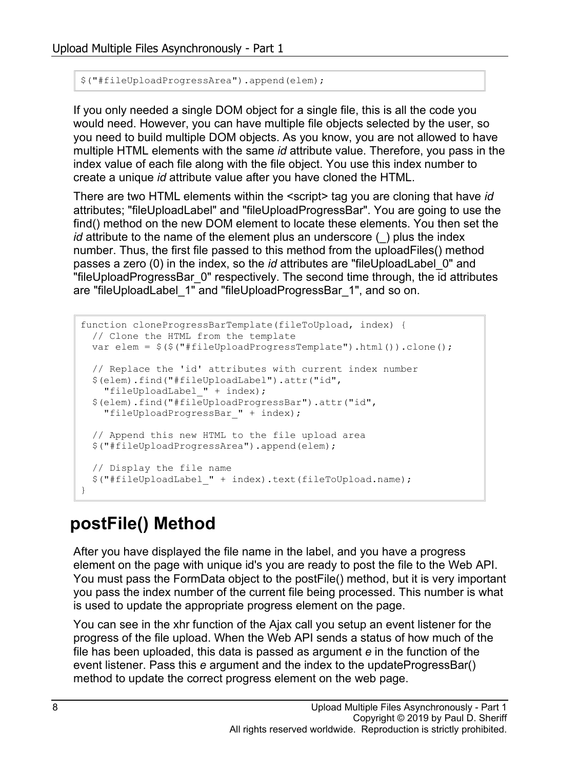```
$("#fileUploadProgressArea").append(elem);
```
If you only needed a single DOM object for a single file, this is all the code you would need. However, you can have multiple file objects selected by the user, so you need to build multiple DOM objects. As you know, you are not allowed to have multiple HTML elements with the same *id* attribute value. Therefore, you pass in the index value of each file along with the file object. You use this index number to create a unique *id* attribute value after you have cloned the HTML.

There are two HTML elements within the <script> tag you are cloning that have *id* attributes; "fileUploadLabel" and "fileUploadProgressBar". You are going to use the find() method on the new DOM element to locate these elements. You then set the *id* attribute to the name of the element plus an underscore () plus the index number. Thus, the first file passed to this method from the uploadFiles() method passes a zero (0) in the index, so the *id* attributes are "fileUploadLabel\_0" and "fileUploadProgressBar\_0" respectively. The second time through, the id attributes are "fileUploadLabel\_1" and "fileUploadProgressBar\_1", and so on.

```
function cloneProgressBarTemplate(fileToUpload, index) {
  // Clone the HTML from the template
  var elem = $($("#fileUploadProgressTemplate").html()).clone();
  // Replace the 'id' attributes with current index number
  $(elem).find("#fileUploadLabel").attr("id",
    "fileUploadLabel_" + index);
  $(elem).find("#fileUploadProgressBar").attr("id",
    "fileUploadProgressBar_" + index);
  // Append this new HTML to the file upload area
  $("#fileUploadProgressArea").append(elem);
  // Display the file name
  $("#fileUploadLabel_" + index).text(fileToUpload.name);
}
```
#### **postFile() Method**

After you have displayed the file name in the label, and you have a progress element on the page with unique id's you are ready to post the file to the Web API. You must pass the FormData object to the postFile() method, but it is very important you pass the index number of the current file being processed. This number is what is used to update the appropriate progress element on the page.

You can see in the xhr function of the Ajax call you setup an event listener for the progress of the file upload. When the Web API sends a status of how much of the file has been uploaded, this data is passed as argument *e* in the function of the event listener. Pass this *e* argument and the index to the updateProgressBar() method to update the correct progress element on the web page.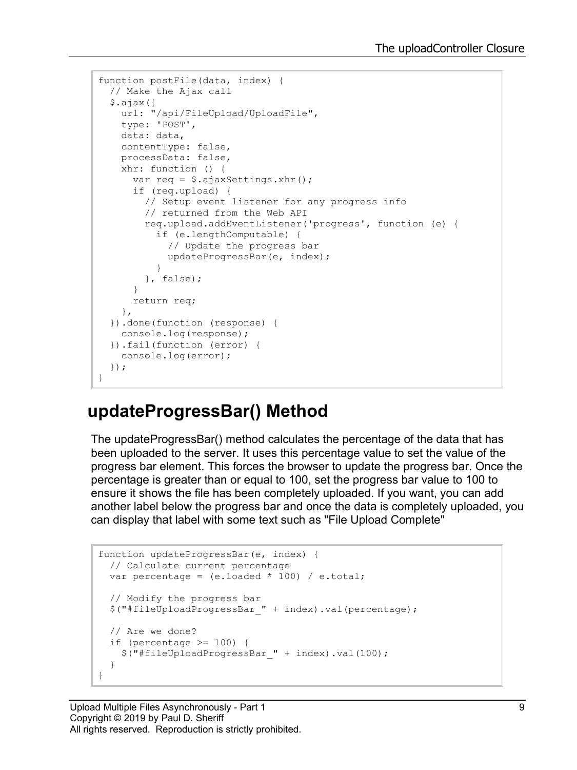```
function postFile(data, index) {
  // Make the Ajax call
   $.ajax({
    url: "/api/FileUpload/UploadFile",
    type: 'POST',
    data: data,
    contentType: false,
    processData: false,
    xhr: function () {
      var req = $.ajaxSettings.xhr();
       if (req.upload) {
         // Setup event listener for any progress info
         // returned from the Web API
         req.upload.addEventListener('progress', function (e) {
           if (e.lengthComputable) {
             // Update the progress bar
             updateProgressBar(e, index);
 }
         }, false);
       }
      return req;
     },
   }).done(function (response) {
    console.log(response);
   }).fail(function (error) {
     console.log(error);
   });
}
```
#### **updateProgressBar() Method**

The updateProgressBar() method calculates the percentage of the data that has been uploaded to the server. It uses this percentage value to set the value of the progress bar element. This forces the browser to update the progress bar. Once the percentage is greater than or equal to 100, set the progress bar value to 100 to ensure it shows the file has been completely uploaded. If you want, you can add another label below the progress bar and once the data is completely uploaded, you can display that label with some text such as "File Upload Complete"

```
function updateProgressBar(e, index) {
  // Calculate current percentage
 var percentage = (e.\text{loaded } * 100) / e.\text{total};
   // Modify the progress bar
   $("#fileUploadProgressBar_" + index).val(percentage);
  // Are we done?
   if (percentage >= 100) {
     $("#fileUploadProgressBar_" + index).val(100);
   }
}
```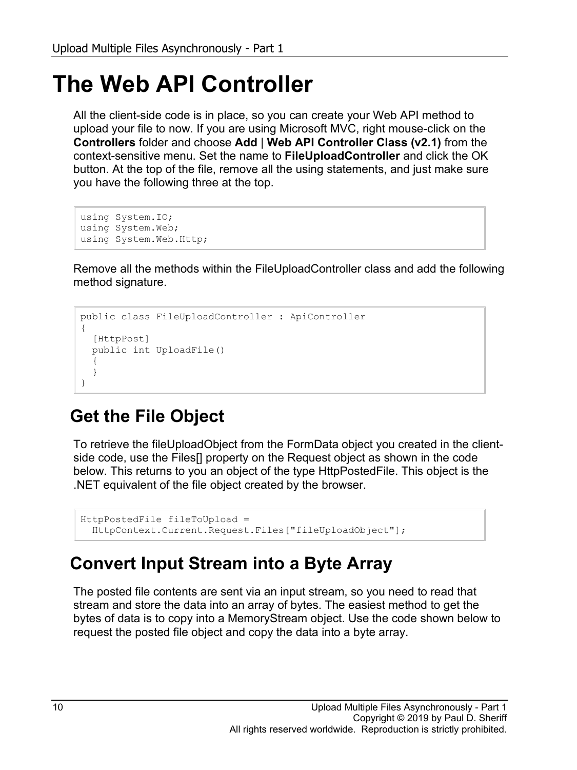# **The Web API Controller**

All the client-side code is in place, so you can create your Web API method to upload your file to now. If you are using Microsoft MVC, right mouse-click on the **Controllers** folder and choose **Add** | **Web API Controller Class (v2.1)** from the context-sensitive menu. Set the name to **FileUploadController** and click the OK button. At the top of the file, remove all the using statements, and just make sure you have the following three at the top.

```
using System.IO;
using System.Web;
using System.Web.Http;
```
Remove all the methods within the FileUploadController class and add the following method signature.

```
public class FileUploadController : ApiController
{
  [HttpPost]
   public int UploadFile()
\{ }
}
```
### **Get the File Object**

To retrieve the fileUploadObject from the FormData object you created in the clientside code, use the Files[] property on the Request object as shown in the code below. This returns to you an object of the type HttpPostedFile. This object is the .NET equivalent of the file object created by the browser.

```
HttpPostedFile fileToUpload = 
   HttpContext.Current.Request.Files["fileUploadObject"];
```
### **Convert Input Stream into a Byte Array**

The posted file contents are sent via an input stream, so you need to read that stream and store the data into an array of bytes. The easiest method to get the bytes of data is to copy into a MemoryStream object. Use the code shown below to request the posted file object and copy the data into a byte array.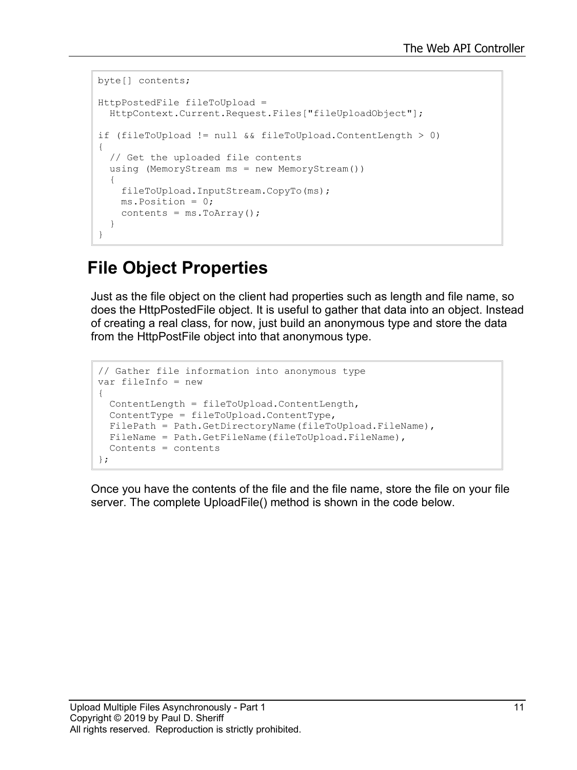```
byte[] contents;
HttpPostedFile fileToUpload = 
  HttpContext.Current.Request.Files["fileUploadObject"];
if (fileToUpload != null && fileToUpload.ContentLength > 0)
{
   // Get the uploaded file contents
  using (MemoryStream ms = new MemoryStream())
   {
     fileToUpload.InputStream.CopyTo(ms);
    ms.Position = 0;
    contents = ms.ToArray();
   }
}
```
#### **File Object Properties**

Just as the file object on the client had properties such as length and file name, so does the HttpPostedFile object. It is useful to gather that data into an object. Instead of creating a real class, for now, just build an anonymous type and store the data from the HttpPostFile object into that anonymous type.

```
// Gather file information into anonymous type
var fileInfo = new
{
  ContentLength = fileToUpload.ContentLength,
  ContentType = fileToUpload.ContentType,
  FilePath = Path.GetDirectoryName(fileToUpload.FileName),
 FileName = Path.GetFileName(fileToUpload.FileName),
  Contents = contents
};
```
Once you have the contents of the file and the file name, store the file on your file server. The complete UploadFile() method is shown in the code below.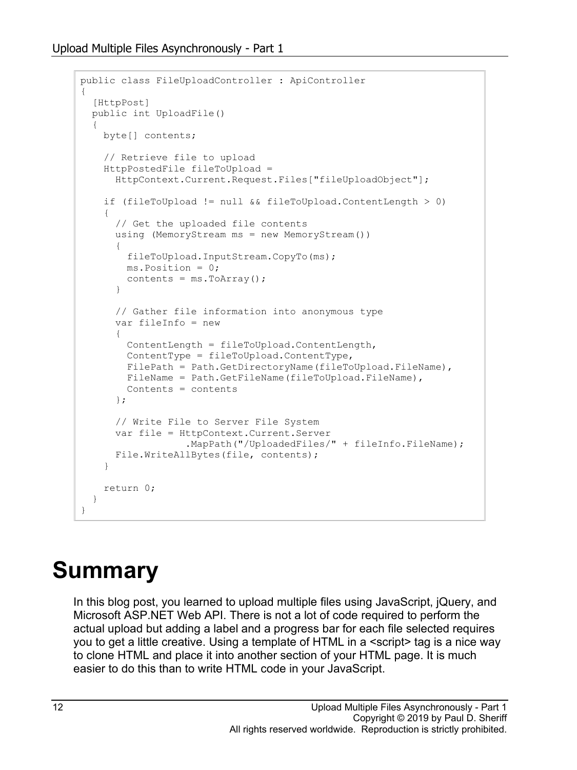```
public class FileUploadController : ApiController
{
   [HttpPost]
   public int UploadFile()
\{ byte[] contents;
     // Retrieve file to upload
     HttpPostedFile fileToUpload = 
       HttpContext.Current.Request.Files["fileUploadObject"];
     if (fileToUpload != null && fileToUpload.ContentLength > 0)
     {
       // Get the uploaded file contents
       using (MemoryStream ms = new MemoryStream())
 {
         fileToUpload.InputStream.CopyTo(ms);
         ms.Position = 0;
        contents = ms.ToArray();
       }
       // Gather file information into anonymous type
       var fileInfo = new
       {
         ContentLength = fileToUpload.ContentLength,
        ContentType = fileToUpload.ContentType,
       FilePath = Path.GetDirectoryName(fileToUpload.FileName),
        FileName = Path.GetFileName(fileToUpload.FileName),
         Contents = contents
       };
       // Write File to Server File System
       var file = HttpContext.Current.Server
                   .MapPath("/UploadedFiles/" + fileInfo.FileName);
       File.WriteAllBytes(file, contents);
     }
     return 0;
   }
}
```
# **Summary**

In this blog post, you learned to upload multiple files using JavaScript, jQuery, and Microsoft ASP.NET Web API. There is not a lot of code required to perform the actual upload but adding a label and a progress bar for each file selected requires you to get a little creative. Using a template of HTML in a <script> tag is a nice way to clone HTML and place it into another section of your HTML page. It is much easier to do this than to write HTML code in your JavaScript.